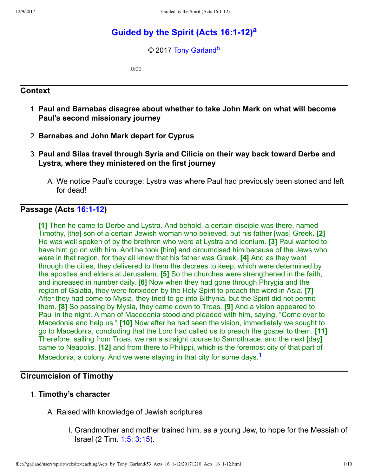# **Guided by the Spirit (Acts 16:1-12)<sup>[a](#page-9-0)</sup>**

<span id="page-0-3"></span><span id="page-0-2"></span>© 2017 [Tony Garland](http://www.spiritandtruth.org/id/tg.htm)<sup>[b](#page-9-1)</sup>

0:00

#### **Context**

- 1. **Paul and Barnabas disagree about whether to take John Mark on what will become Paul's second missionary journey**
- 2. **Barnabas and John Mark depart for Cyprus**
- 3. **Paul and Silas travel through Syria and Cilicia on their way back toward Derbe and Lystra, where they ministered on the first journey**
	- A. We notice Paul's courage: Lystra was where Paul had previously been stoned and left for dead!

#### **Passage (Acts 16:1-12)**

<span id="page-0-1"></span>**[1]** Then he came to Derbe and Lystra. And behold, a certain disciple was there, named Timothy, [the] son of a certain Jewish woman who believed, but his father [was] Greek. **[2]** He was well spoken of by the brethren who were at Lystra and Iconium. **[3]** Paul wanted to have him go on with him. And he took [him] and circumcised him because of the Jews who were in that region, for they all knew that his father was Greek. **[4]** And as they went through the cities, they delivered to them the decrees to keep, which were determined by the apostles and elders at Jerusalem. **[5]** So the churches were strengthened in the faith, and increased in number daily. **[6]** Now when they had gone through Phrygia and the region of Galatia, they were forbidden by the Holy Spirit to preach the word in Asia. **[7]** After they had come to Mysia, they tried to go into Bithynia, but the Spirit did not permit them. **[8]** So passing by Mysia, they came down to Troas. **[9]** And a vision appeared to Paul in the night. A man of Macedonia stood and pleaded with him, saying, "Come over to Macedonia and help us." **[10]** Now after he had seen the vision, immediately we sought to go to Macedonia, concluding that the Lord had called us to preach the gospel to them. **[11]** Therefore, sailing from Troas, we ran a straight course to Samothrace, and the next [day] came to Neapolis, **[12]** and from there to Philippi, which is the foremost city of that part of Macedonia, a colony. And we were staying in that city for some days.<sup>[1](#page-8-0)</sup>

### **Circumcision of Timothy**

- <span id="page-0-0"></span>1. **Timothy's character**
	- A. Raised with knowledge of Jewish scriptures
		- I. Grandmother and mother trained him, as a young Jew, to hope for the Messiah of Israel (2 Tim. [1:5](http://www.spiritandtruth.org/bibles/nasb/b55c001.htm#2Ti._C1V5); [3:15](http://www.spiritandtruth.org/bibles/nasb/b55c003.htm#2Ti._C3V15)).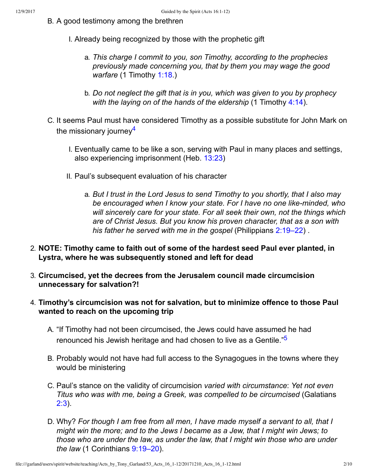- B. A good testimony among the brethren
	- I. Already being recognized by those with the prophetic gift
		- a. *This charge I commit to you, son Timothy, according to the prophecies previously made concerning you, that by them you may wage the good warfare* (1 Timothy [1:18.](http://www.spiritandtruth.org/bibles/nasb/b54c001.htm#1Ti._C1V18))
		- b. *Do not neglect the gift that is in you, which was given to you by prophecy with the laying on of the hands of the eldership* (1 Timothy [4:14\)](http://www.spiritandtruth.org/bibles/nasb/b54c004.htm#1Ti._C4V14).
- <span id="page-1-0"></span>C. It seems Paul must have considered Timothy as a possible substitute for John Mark on the missionary journey<sup>[4](#page-8-1)</sup>
	- I. Eventually came to be like a son, serving with Paul in many places and settings, also experiencing imprisonment (Heb. [13:23\)](http://www.spiritandtruth.org/bibles/nasb/b58c013.htm#Heb._C13V23)
	- II. Paul's subsequent evaluation of his character
		- a. *But I trust in the Lord Jesus to send Timothy to you shortly, that I also may be encouraged when I know your state. For I have no one likeminded, who will sincerely care for your state. For all seek their own, not the things which are of Christ Jesus. But you know his proven character, that as a son with his father he served with me in the gospel* (Philippians [2:19–22\)](http://www.spiritandtruth.org/bibles/nasb/b50c002.htm#Php._C2V19) .
- 2. **NOTE: Timothy came to faith out of some of the hardest seed Paul ever planted, in Lystra, where he was subsequently stoned and left for dead**
- 3. **Circumcised, yet the decrees from the Jerusalem council made circumcision unnecessary for salvation?!**
- <span id="page-1-1"></span>4. **Timothy's circumcision was not for salvation, but to minimize offence to those Paul wanted to reach on the upcoming trip**
	- A. "If Timothy had not been circumcised, the Jews could have assumed he had renounced his Jewish heritage and had chosen to live as a Gentile."<sup>[5](#page-8-2)</sup>
	- B. Probably would not have had full access to the Synagogues in the towns where they would be ministering
	- C. Paul's stance on the validity of circumcision *varied with circumstance*: *Yet not even Titus who was with me, being a Greek, was compelled to be circumcised* (Galatians [2:3](http://www.spiritandtruth.org/bibles/nasb/b48c002.htm#Gal._C2V3)).
	- D. Why? *For though I am free from all men, I have made myself a servant to all, that I might win the more; and to the Jews I became as a Jew, that I might win Jews; to those who are under the law, as under the law, that I might win those who are under the law* (1 Corinthians [9:19–20](http://www.spiritandtruth.org/bibles/nasb/b46c009.htm#1Cor._C9V19)).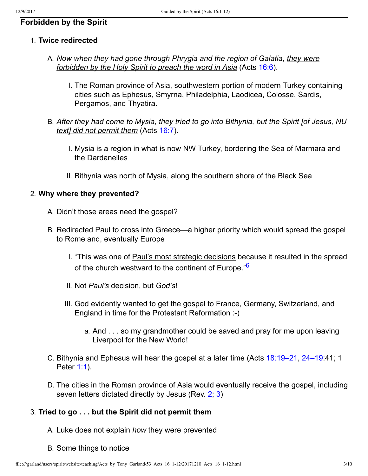## **Forbidden by the Spirit**

#### 1. **Twice redirected**

- A. *Now when they had gone through Phrygia and the region of Galatia, they were forbidden by the Holy Spirit to preach the word in Asia* (Acts [16:6\)](http://www.spiritandtruth.org/bibles/nasb/b44c016.htm#Acts_C16V6).
	- I. The Roman province of Asia, southwestern portion of modern Turkey containing cities such as Ephesus, Smyrna, Philadelphia, Laodicea, Colosse, Sardis, Pergamos, and Thyatira.
- B. *After they had come to Mysia, they tried to go into Bithynia, but the Spirit [of Jesus, NU text] did not permit them* (Acts [16:7](http://www.spiritandtruth.org/bibles/nasb/b44c016.htm#Acts_C16V7)).
	- I. Mysia is a region in what is now NW Turkey, bordering the Sea of Marmara and the Dardanelles
	- II. Bithynia was north of Mysia, along the southern shore of the Black Sea

#### 2. **Why where they prevented?**

- A. Didn't those areas need the gospel?
- <span id="page-2-0"></span>B. Redirected Paul to cross into Greece—a higher priority which would spread the gospel to Rome and, eventually Europe
	- I. "This was one of Paul's most strategic decisions because it resulted in the spread of the church westward to the continent of Europe."<sup>[6](#page-8-3)</sup>
	- II. Not *Paul's* decision, but *God's*!
	- III. God evidently wanted to get the gospel to France, Germany, Switzerland, and England in time for the Protestant Reformation :-)
		- a. And . . . so my grandmother could be saved and pray for me upon leaving Liverpool for the New World!
- C. Bithynia and Ephesus will hear the gospel at a later time (Acts [18:19–21,](http://www.spiritandtruth.org/bibles/nasb/b44c018.htm#Acts_C18V19) [24–19:](http://www.spiritandtruth.org/bibles/nasb/b44c018.htm#Acts_C18V24)41; 1 Peter [1:1](http://www.spiritandtruth.org/bibles/nasb/b60c001.htm#1Pe._C1V1)).
- D. The cities in the Roman province of Asia would eventually receive the gospel, including seven letters dictated directly by Jesus (Rev. [2](http://www.spiritandtruth.org/bibles/nasb/b66c002.htm#Rev._C2V1); [3](http://www.spiritandtruth.org/bibles/nasb/b66c003.htm#Rev._C3V1))

#### 3. **Tried to go . . . but the Spirit did not permit them**

- A. Luke does not explain *how* they were prevented
- B. Some things to notice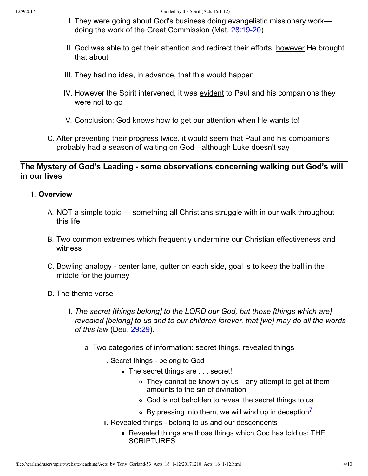- I. They were going about God's business doing evangelistic missionary work doing the work of the Great Commission (Mat. 28:19-20)
- II. God was able to get their attention and redirect their efforts, however He brought that about
- III. They had no idea, in advance, that this would happen
- IV. However the Spirit intervened, it was evident to Paul and his companions they were not to go
- V. Conclusion: God knows how to get our attention when He wants to!
- C. After preventing their progress twice, it would seem that Paul and his companions probably had a season of waiting on God—although Luke doesn't say

### The Mystery of God's Leading - some observations concerning walking out God's will **in our lives**

### 1. **Overview**

- A. NOT a simple topic something all Christians struggle with in our walk throughout this life
- B. Two common extremes which frequently undermine our Christian effectiveness and witness
- C. Bowling analogy center lane, gutter on each side, goal is to keep the ball in the middle for the journey
- <span id="page-3-0"></span>D. The theme verse
	- I. *The secret [things belong] to the LORD our God, but those [things which are] revealed [belong] to us and to our children forever, that [we] may do all the words of this law* (Deu. [29:29](http://www.spiritandtruth.org/bibles/nasb/b05c029.htm#Deu._C29V29)).
		- a. Two categories of information: secret things, revealed things
			- i. Secret things belong to God
				- The secret things are . . . secret!
					- They cannot be known by us—any attempt to get at them amounts to the sin of divination
					- God is not beholden to reveal the secret things to us
					- $\circ$  By pressing into them, we will wind up in deception
			- ii. Revealed things belong to us and our descendents
				- Revealed things are those things which God has told us: THE **SCRIPTURES**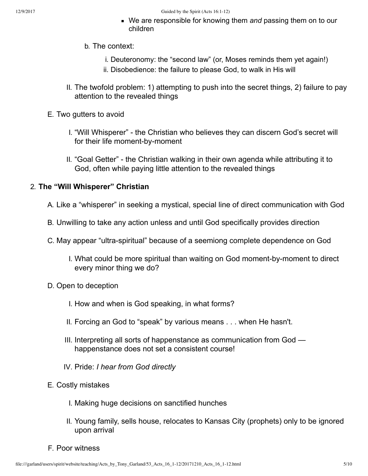- We are responsible for knowing them *and* passing them on to our children
- b. The context:
	- i. Deuteronomy: the "second law" (or, Moses reminds them yet again!)
	- ii. Disobedience: the failure to please God, to walk in His will
- II. The twofold problem: 1) attempting to push into the secret things, 2) failure to pay attention to the revealed things
- E. Two gutters to avoid
	- I. "Will Whisperer" the Christian who believes they can discern God's secret will for their life moment-by-moment
	- II. "Goal Getter" the Christian walking in their own agenda while attributing it to God, often while paying little attention to the revealed things

#### 2. **The "Will Whisperer" Christian**

- A. Like a "whisperer" in seeking a mystical, special line of direct communication with God
- B. Unwilling to take any action unless and until God specifically provides direction
- C. May appear "ultra-spiritual" because of a seemiong complete dependence on God
	- I. What could be more spiritual than waiting on God moment-by-moment to direct every minor thing we do?
- D. Open to deception
	- I. How and when is God speaking, in what forms?
	- II. Forcing an God to "speak" by various means . . . when He hasn't.
	- III. Interpreting all sorts of happenstance as communication from God happenstance does not set a consistent course!
	- IV. Pride: *I hear from God directly*
- E. Costly mistakes
	- I. Making huge decisions on sanctified hunches
	- II. Young family, sells house, relocates to Kansas City (prophets) only to be ignored upon arrival
- F. Poor witness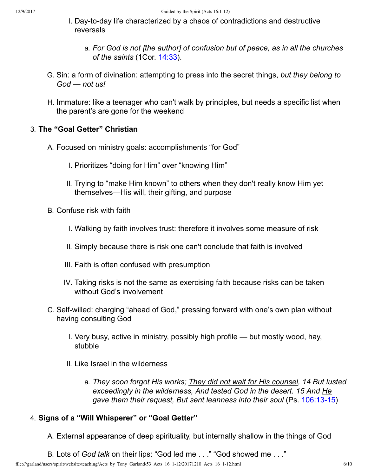- I. Day-to-day life characterized by a chaos of contradictions and destructive reversals
	- a. *For God is not [the author] of confusion but of peace, as in all the churches of the saints* (1Cor. [14:33\)](http://www.spiritandtruth.org/bibles/nasb/b46c014.htm#1Cor._C14V33).
- G. Sin: a form of divination: attempting to press into the secret things, *but they belong to God — not us!*
- H. Immature: like a teenager who can't walk by principles, but needs a specific list when the parent's are gone for the weekend

### 3. **The "Goal Getter" Christian**

- A. Focused on ministry goals: accomplishments "for God"
	- I. Prioritizes "doing for Him" over "knowing Him"
	- II. Trying to "make Him known" to others when they don't really know Him yet themselves—His will, their gifting, and purpose
- B. Confuse risk with faith
	- I. Walking by faith involves trust: therefore it involves some measure of risk
	- II. Simply because there is risk one can't conclude that faith is involved
	- III. Faith is often confused with presumption
	- IV. Taking risks is not the same as exercising faith because risks can be taken without God's involvement
- C. Self-willed: charging "ahead of God," pressing forward with one's own plan without having consulting God
	- I. Very busy, active in ministry, possibly high profile but mostly wood, hay, stubble
	- II. Like Israel in the wilderness
		- a. *They soon forgot His works; They did not wait for His counsel, 14 But lusted exceedingly in the wilderness, And tested God in the desert. 15 And He gave them their request, But sent leanness into their soul* (Ps. 106:13-15)

#### 4. **Signs of a "Will Whisperer" or "Goal Getter"**

A. External appearance of deep spirituality, but internally shallow in the things of God

B. Lots of *God talk* on their lips: "God led me . . ." "God showed me . . ."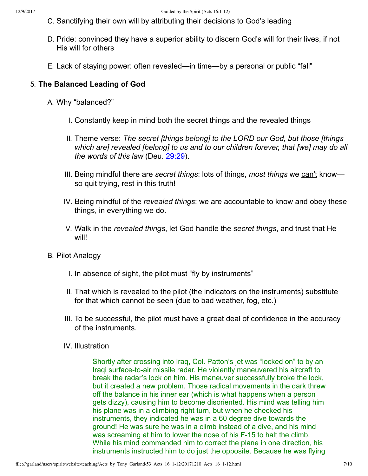- C. Sanctifying their own will by attributing their decisions to God's leading
- D. Pride: convinced they have a superior ability to discern God's will for their lives, if not His will for others
- E. Lack of staying power: often revealed—in time—by a personal or public "fall"

#### 5. **The Balanced Leading of God**

- A. Why "balanced?"
	- I. Constantly keep in mind both the secret things and the revealed things
	- II. Theme verse: *The secret [things belong] to the LORD our God, but those [things which are] revealed [belong] to us and to our children forever, that [we] may do all the words of this law* (Deu. [29:29\)](http://www.spiritandtruth.org/bibles/nasb/b05c029.htm#Deu._C29V29).
	- III. Being mindful there are *secret things*: lots of things, *most things* we can't know so quit trying, rest in this truth!
	- IV. Being mindful of the *revealed things*: we are accountable to know and obey these things, in everything we do.
	- V. Walk in the *revealed things*, let God handle the *secret things*, and trust that He will!
- B. Pilot Analogy
	- I. In absence of sight, the pilot must "fly by instruments"
	- II. That which is revealed to the pilot (the indicators on the instruments) substitute for that which cannot be seen (due to bad weather, fog, etc.)
	- III. To be successful, the pilot must have a great deal of confidence in the accuracy of the instruments.
	- IV. Illustration

Shortly after crossing into Iraq, Col. Patton's jet was "locked on" to by an Iraqi surface-to-air missile radar. He violently maneuvered his aircraft to break the radar's lock on him. His maneuver successfully broke the lock, but it created a new problem. Those radical movements in the dark threw off the balance in his inner ear (which is what happens when a person gets dizzy), causing him to become disoriented. His mind was telling him his plane was in a climbing right turn, but when he checked his instruments, they indicated he was in a 60 degree dive towards the ground! He was sure he was in a climb instead of a dive, and his mind was screaming at him to lower the nose of his F-15 to halt the climb. While his mind commanded him to correct the plane in one direction, his instruments instructed him to do just the opposite. Because he was flying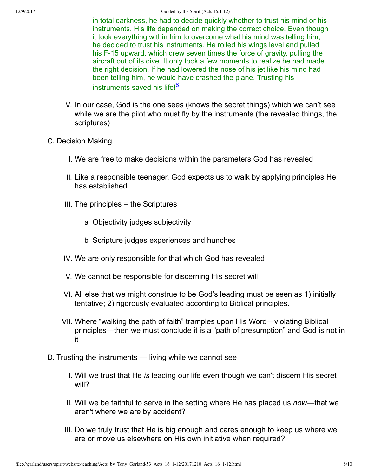<span id="page-7-0"></span>in total darkness, he had to decide quickly whether to trust his mind or his instruments. His life depended on making the correct choice. Even though it took everything within him to overcome what his mind was telling him, he decided to trust his instruments. He rolled his wings level and pulled his F-15 upward, which drew seven times the force of gravity, pulling the aircraft out of its dive. It only took a few moments to realize he had made the right decision. If he had lowered the nose of his jet like his mind had been telling him, he would have crashed the plane. Trusting his instruments saved his life!<sup>[8](#page-8-5)</sup>

- V. In our case, God is the one sees (knows the secret things) which we can't see while we are the pilot who must fly by the instruments (the revealed things, the scriptures)
- C. Decision Making
	- I. We are free to make decisions within the parameters God has revealed
	- II. Like a responsible teenager, God expects us to walk by applying principles He has established
	- III. The principles = the Scriptures
		- a. Objectivity judges subjectivity
		- b. Scripture judges experiences and hunches
	- IV. We are only responsible for that which God has revealed
	- V. We cannot be responsible for discerning His secret will
	- VI. All else that we might construe to be God's leading must be seen as 1) initially tentative; 2) rigorously evaluated according to Biblical principles.
	- VII. Where "walking the path of faith" tramples upon His Word—violating Biblical principles—then we must conclude it is a "path of presumption" and God is not in it
- D. Trusting the instruments living while we cannot see
	- I. Will we trust that He *is* leading our life even though we can't discern His secret will?
	- II. Will we be faithful to serve in the setting where He has placed us *now*—that we aren't where we are by accident?
	- III. Do we truly trust that He is big enough and cares enough to keep us where we are or move us elsewhere on His own initiative when required?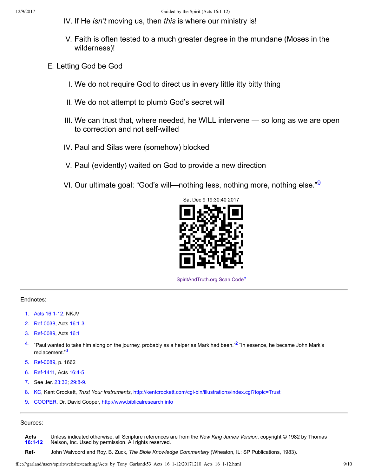- IV. If He *isn't* moving us, then *this* is where our ministry is!
- V. Faith is often tested to a much greater degree in the mundane (Moses in the wilderness)!
- E. Letting God be God
	- I. We do not require God to direct us in every little itty bitty thing
	- II. We do not attempt to plumb God's secret will
	- III. We can trust that, where needed, he WILL intervene so long as we are open to correction and not self-willed
	- IV. Paul and Silas were (somehow) blocked
	- V. Paul (evidently) waited on God to provide a new direction
	- VI. Our ultimate goal: "God's will—nothing less, nothing more, nothing else."<sup>[9](#page-8-6)</sup>

<span id="page-8-12"></span>

<span id="page-8-13"></span><span id="page-8-7"></span>[SpiritAndTruth.org Scan Code](http://www.spiritandtruth.org/)<sup>[c](#page-9-2)</sup>

#### Endnotes:

- <span id="page-8-0"></span>[1.](#page-0-0) Acts 16:1-12, NKJV
- <span id="page-8-10"></span>[2.](#page-8-7) Ref-0038, Acts 16:1-3
- <span id="page-8-11"></span>[3.](#page-8-9) Ref-0089, Acts [16:1](http://www.spiritandtruth.org/bibles/nasb/b44c016.htm#Acts_C16V1)
- <span id="page-8-9"></span><span id="page-8-1"></span> $4.$  "Paul wanted to take him along on the journey, probably as a helper as Mark had been."<sup>[2](#page-8-10)</sup> "In essence, he became John Mark's replacement."<sup>[3](#page-8-11)</sup>
- <span id="page-8-2"></span>[5.](#page-1-1) Ref-0089, p. 1662
- <span id="page-8-3"></span>[6.](#page-2-0) Ref-1411, Acts 16:4-5
- <span id="page-8-4"></span>[7.](#page-3-0) See Jer. [23:32](http://www.spiritandtruth.org/bibles/nasb/b24c023.htm#Jer._C23V32), 29:8-9.
- <span id="page-8-5"></span>[8.](#page-7-0) KC, Kent Crockett, *Trust Your Instruments*, http://kentcrockett.com/cgi-bin/illustrations/index.cgi?topic=Trust
- <span id="page-8-6"></span>[9.](#page-8-12) COOPER, Dr. David Cooper, [http://www.biblicalresearch.info](http://www.biblicalresearch.info/)

#### Sources:

**Acts [16:112](http://www.spiritandtruth.org/bibles/nasb/b44c016.htm#Acts_C16V1)** Unless indicated otherwise, all Scripture references are from the *New King James Version*, copyright © 1982 by Thomas Nelson, Inc. Used by permission. All rights reserved.

<span id="page-8-8"></span>**Ref** John Walvoord and Roy. B. Zuck, *The Bible Knowledge Commentary* (Wheaton, IL: SP Publications, 1983).